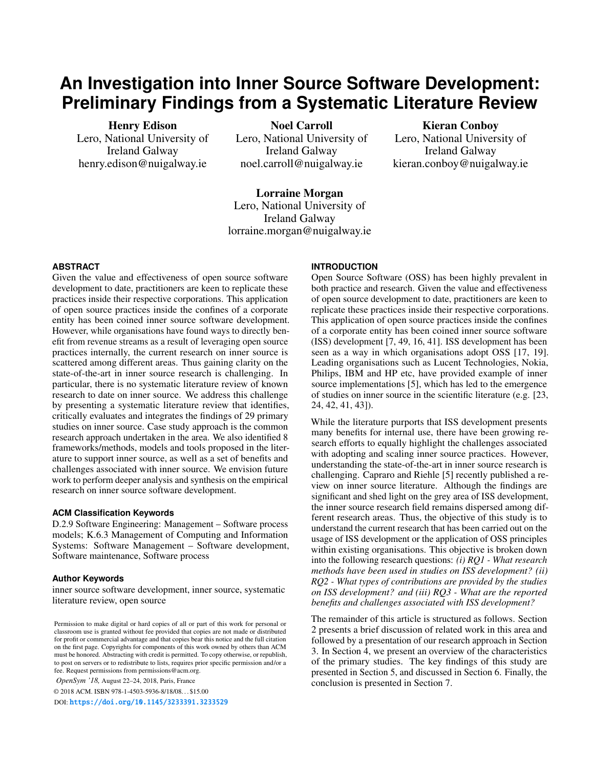# **An Investigation into Inner Source Software Development: Preliminary Findings from a Systematic Literature Review**

Henry Edison Lero, National University of Ireland Galway henry.edison@nuigalway.ie

Noel Carroll Lero, National University of Ireland Galway noel.carroll@nuigalway.ie

Kieran Conboy Lero, National University of Ireland Galway kieran.conboy@nuigalway.ie

# Lorraine Morgan Lero, National University of Ireland Galway lorraine.morgan@nuigalway.ie

### **ABSTRACT**

Given the value and effectiveness of open source software development to date, practitioners are keen to replicate these practices inside their respective corporations. This application of open source practices inside the confines of a corporate entity has been coined inner source software development. However, while organisations have found ways to directly benefit from revenue streams as a result of leveraging open source practices internally, the current research on inner source is scattered among different areas. Thus gaining clarity on the state-of-the-art in inner source research is challenging. In particular, there is no systematic literature review of known research to date on inner source. We address this challenge by presenting a systematic literature review that identifies, critically evaluates and integrates the findings of 29 primary studies on inner source. Case study approach is the common research approach undertaken in the area. We also identified 8 frameworks/methods, models and tools proposed in the literature to support inner source, as well as a set of benefits and challenges associated with inner source. We envision future work to perform deeper analysis and synthesis on the empirical research on inner source software development.

### **ACM Classification Keywords**

D.2.9 Software Engineering: Management – Software process models; K.6.3 Management of Computing and Information Systems: Software Management – Software development, Software maintenance, Software process

#### **Author Keywords**

inner source software development, inner source, systematic literature review, open source

*OpenSym '18,* August 22–24, 2018, Paris, France

© 2018 ACM. ISBN 978-1-4503-5936-8/18/08. . . \$15.00 DOI: <https://doi.org/10.1145/3233391.3233529>

### **INTRODUCTION**

Open Source Software (OSS) has been highly prevalent in both practice and research. Given the value and effectiveness of open source development to date, practitioners are keen to replicate these practices inside their respective corporations. This application of open source practices inside the confines of a corporate entity has been coined inner source software (ISS) development [\[7,](#page-8-0) [49,](#page-9-0) [16,](#page-8-1) [41\]](#page-9-1). ISS development has been seen as a way in which organisations adopt OSS [\[17,](#page-8-2) [19\]](#page-8-3). Leading organisations such as Lucent Technologies, Nokia, Philips, IBM and HP etc, have provided example of inner source implementations [\[5\]](#page-8-4), which has led to the emergence of studies on inner source in the scientific literature (e.g. [\[23,](#page-8-5) [24,](#page-8-6) [42,](#page-9-2) [41,](#page-9-1) [43\]](#page-9-3)).

While the literature purports that ISS development presents many benefits for internal use, there have been growing research efforts to equally highlight the challenges associated with adopting and scaling inner source practices. However, understanding the state-of-the-art in inner source research is challenging. Capraro and Riehle [\[5\]](#page-8-4) recently published a review on inner source literature. Although the findings are significant and shed light on the grey area of ISS development, the inner source research field remains dispersed among different research areas. Thus, the objective of this study is to understand the current research that has been carried out on the usage of ISS development or the application of OSS principles within existing organisations. This objective is broken down into the following research questions: *(i) RQ1 - What research methods have been used in studies on ISS development? (ii) RQ2 - What types of contributions are provided by the studies on ISS development? and (iii) RQ3 - What are the reported benefits and challenges associated with ISS development?*

The remainder of this article is structured as follows. Section [2](#page-1-0) presents a brief discussion of related work in this area and followed by a presentation of our research approach in Section [3.](#page-1-1) In Section [4,](#page-2-0) we present an overview of the characteristics of the primary studies. The key findings of this study are presented in Section [5,](#page-3-0) and discussed in Section [6.](#page-7-0) Finally, the conclusion is presented in Section [7.](#page-7-1)

Permission to make digital or hard copies of all or part of this work for personal or classroom use is granted without fee provided that copies are not made or distributed for profit or commercial advantage and that copies bear this notice and the full citation on the first page. Copyrights for components of this work owned by others than ACM must be honored. Abstracting with credit is permitted. To copy otherwise, or republish, to post on servers or to redistribute to lists, requires prior specific permission and/or a fee. Request permissions from permissions@acm.org.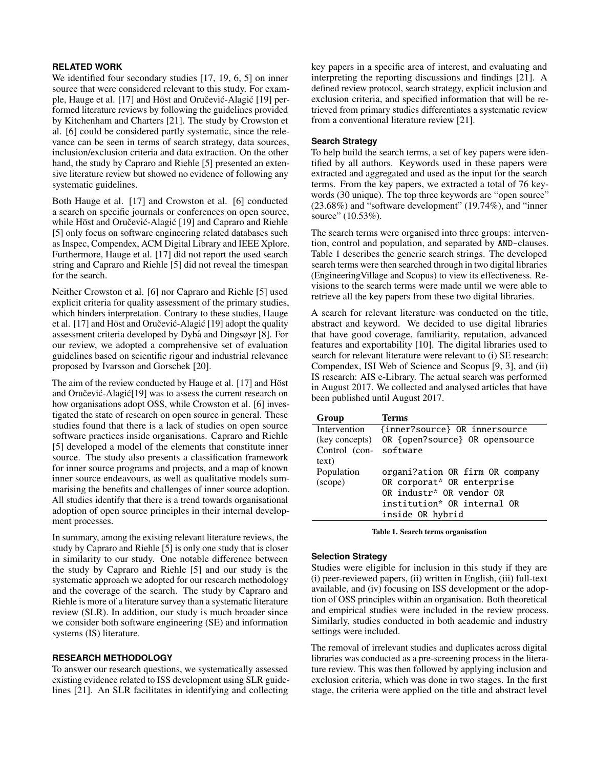### <span id="page-1-0"></span>**RELATED WORK**

We identified four secondary studies [\[17,](#page-8-2) [19,](#page-8-3) [6,](#page-8-7) [5\]](#page-8-4) on inner source that were considered relevant to this study. For exam-ple, Hauge et al. [\[17\]](#page-8-2) and Höst and Oručević-Alagić [[19\]](#page-8-3) performed literature reviews by following the guidelines provided by Kitchenham and Charters [\[21\]](#page-8-8). The study by Crowston et al. [\[6\]](#page-8-7) could be considered partly systematic, since the relevance can be seen in terms of search strategy, data sources, inclusion/exclusion criteria and data extraction. On the other hand, the study by Capraro and Riehle [\[5\]](#page-8-4) presented an extensive literature review but showed no evidence of following any systematic guidelines.

Both Hauge et al. [\[17\]](#page-8-2) and Crowston et al. [\[6\]](#page-8-7) conducted a search on specific journals or conferences on open source, while Höst and Oručević-Alagić [[19\]](#page-8-3) and Capraro and Riehle [\[5\]](#page-8-4) only focus on software engineering related databases such as Inspec, Compendex, ACM Digital Library and IEEE Xplore. Furthermore, Hauge et al. [\[17\]](#page-8-2) did not report the used search string and Capraro and Riehle [\[5\]](#page-8-4) did not reveal the timespan for the search.

Neither Crowston et al. [\[6\]](#page-8-7) nor Capraro and Riehle [\[5\]](#page-8-4) used explicit criteria for quality assessment of the primary studies, which hinders interpretation. Contrary to these studies, Hauge et al. [\[17\]](#page-8-2) and Höst and Oručević-Alagić [[19\]](#page-8-3) adopt the quality assessment criteria developed by Dybå and Dingsøyr [\[8\]](#page-8-9). For our review, we adopted a comprehensive set of evaluation guidelines based on scientific rigour and industrial relevance proposed by Ivarsson and Gorschek [\[20\]](#page-8-10).

The aim of the review conducted by Hauge et al. [\[17\]](#page-8-2) and Höst and Oručević-Alagić [[19\]](#page-8-3) was to assess the current research on how organisations adopt OSS, while Crowston et al. [\[6\]](#page-8-7) investigated the state of research on open source in general. These studies found that there is a lack of studies on open source software practices inside organisations. Capraro and Riehle [\[5\]](#page-8-4) developed a model of the elements that constitute inner source. The study also presents a classification framework for inner source programs and projects, and a map of known inner source endeavours, as well as qualitative models summarising the benefits and challenges of inner source adoption. All studies identify that there is a trend towards organisational adoption of open source principles in their internal development processes.

In summary, among the existing relevant literature reviews, the study by Capraro and Riehle [\[5\]](#page-8-4) is only one study that is closer in similarity to our study. One notable difference between the study by Capraro and Riehle [\[5\]](#page-8-4) and our study is the systematic approach we adopted for our research methodology and the coverage of the search. The study by Capraro and Riehle is more of a literature survey than a systematic literature review (SLR). In addition, our study is much broader since we consider both software engineering (SE) and information systems (IS) literature.

### <span id="page-1-1"></span>**RESEARCH METHODOLOGY**

To answer our research questions, we systematically assessed existing evidence related to ISS development using SLR guidelines [\[21\]](#page-8-8). An SLR facilitates in identifying and collecting key papers in a specific area of interest, and evaluating and interpreting the reporting discussions and findings [\[21\]](#page-8-8). A defined review protocol, search strategy, explicit inclusion and exclusion criteria, and specified information that will be retrieved from primary studies differentiates a systematic review from a conventional literature review [\[21\]](#page-8-8).

### **Search Strategy**

To help build the search terms, a set of key papers were identified by all authors. Keywords used in these papers were extracted and aggregated and used as the input for the search terms. From the key papers, we extracted a total of 76 keywords (30 unique). The top three keywords are "open source"  $(23.68\%)$  and "software development"  $(19.74\%)$ , and "inner source" (10.53%).

The search terms were organised into three groups: intervention, control and population, and separated by AND-clauses. Table [1](#page-1-2) describes the generic search strings. The developed search terms were then searched through in two digital libraries (EngineeringVillage and Scopus) to view its effectiveness. Revisions to the search terms were made until we were able to retrieve all the key papers from these two digital libraries.

A search for relevant literature was conducted on the title, abstract and keyword. We decided to use digital libraries that have good coverage, familiarity, reputation, advanced features and exportability [\[10\]](#page-8-11). The digital libraries used to search for relevant literature were relevant to (i) SE research: Compendex, ISI Web of Science and Scopus [\[9,](#page-8-12) [3\]](#page-8-13), and (ii) IS research: AIS e-Library. The actual search was performed in August 2017. We collected and analysed articles that have been published until August 2017.

| Group          | Terms                           |
|----------------|---------------------------------|
| Intervention   | {inner?source} OR innersource   |
| (key concepts) | OR {open?source} OR opensource  |
| Control (con-  | software                        |
| text)          |                                 |
| Population     | organi?ation OR firm OR company |
| (scope)        | OR corporat* OR enterprise      |
|                | OR industr* OR vendor OR        |
|                | institution* OR internal OR     |
|                | inside OR hybrid                |

<span id="page-1-2"></span>Table 1. Search terms organisation

### **Selection Strategy**

Studies were eligible for inclusion in this study if they are (i) peer-reviewed papers, (ii) written in English, (iii) full-text available, and (iv) focusing on ISS development or the adoption of OSS principles within an organisation. Both theoretical and empirical studies were included in the review process. Similarly, studies conducted in both academic and industry settings were included.

The removal of irrelevant studies and duplicates across digital libraries was conducted as a pre-screening process in the literature review. This was then followed by applying inclusion and exclusion criteria, which was done in two stages. In the first stage, the criteria were applied on the title and abstract level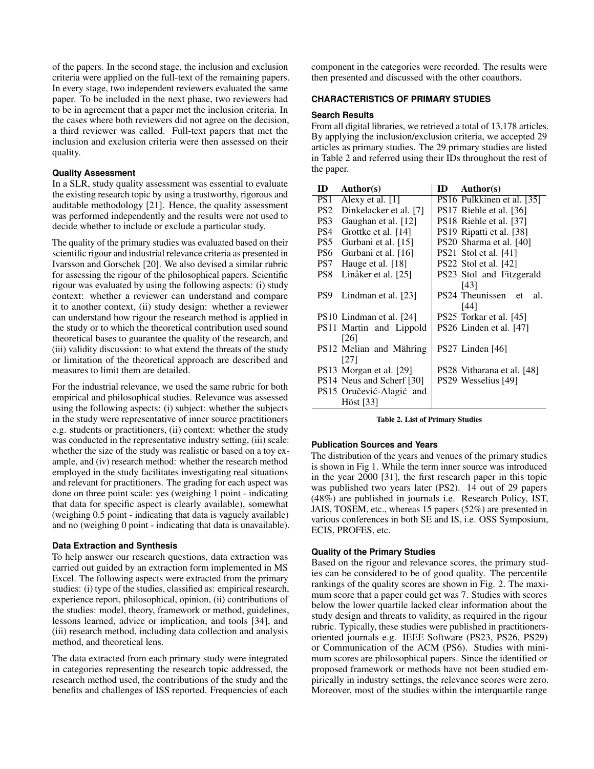of the papers. In the second stage, the inclusion and exclusion criteria were applied on the full-text of the remaining papers. In every stage, two independent reviewers evaluated the same paper. To be included in the next phase, two reviewers had to be in agreement that a paper met the inclusion criteria. In the cases where both reviewers did not agree on the decision, a third reviewer was called. Full-text papers that met the inclusion and exclusion criteria were then assessed on their quality.

### **Quality Assessment**

In a SLR, study quality assessment was essential to evaluate the existing research topic by using a trustworthy, rigorous and auditable methodology [\[21\]](#page-8-8). Hence, the quality assessment was performed independently and the results were not used to decide whether to include or exclude a particular study.

The quality of the primary studies was evaluated based on their scientific rigour and industrial relevance criteria as presented in Ivarsson and Gorschek [\[20\]](#page-8-10). We also devised a similar rubric for assessing the rigour of the philosophical papers. Scientific rigour was evaluated by using the following aspects: (i) study context: whether a reviewer can understand and compare it to another context, (ii) study design: whether a reviewer can understand how rigour the research method is applied in the study or to which the theoretical contribution used sound theoretical bases to guarantee the quality of the research, and (iii) validity discussion: to what extend the threats of the study or limitation of the theoretical approach are described and measures to limit them are detailed.

For the industrial relevance, we used the same rubric for both empirical and philosophical studies. Relevance was assessed using the following aspects: (i) subject: whether the subjects in the study were representative of inner source practitioners e.g. students or practitioners, (ii) context: whether the study was conducted in the representative industry setting, (iii) scale: whether the size of the study was realistic or based on a toy example, and (iv) research method: whether the research method employed in the study facilitates investigating real situations and relevant for practitioners. The grading for each aspect was done on three point scale: yes (weighing 1 point - indicating that data for specific aspect is clearly available), somewhat (weighing 0.5 point - indicating that data is vaguely available) and no (weighing 0 point - indicating that data is unavailable).

### **Data Extraction and Synthesis**

To help answer our research questions, data extraction was carried out guided by an extraction form implemented in MS Excel. The following aspects were extracted from the primary studies: (i) type of the studies, classified as: empirical research, experience report, philosophical, opinion, (ii) contributions of the studies: model, theory, framework or method, guidelines, lessons learned, advice or implication, and tools [\[34\]](#page-9-4), and (iii) research method, including data collection and analysis method, and theoretical lens.

The data extracted from each primary study were integrated in categories representing the research topic addressed, the research method used, the contributions of the study and the benefits and challenges of ISS reported. Frequencies of each

component in the categories were recorded. The results were then presented and discussed with the other coauthors.

### <span id="page-2-0"></span>**CHARACTERISTICS OF PRIMARY STUDIES**

### **Search Results**

From all digital libraries, we retrieved a total of 13,178 articles. By applying the inclusion/exclusion criteria, we accepted 29 articles as primary studies. The 29 primary studies are listed in Table [2](#page-2-1) and referred using their IDs throughout the rest of the paper.

| ID              | Author(s)                 | ID | Author(s)                    |
|-----------------|---------------------------|----|------------------------------|
| PS 1            | Alexy et al. [1]          |    | PS16 Pulkkinen et al. [35]   |
| PS <sub>2</sub> | Dinkelacker et al. [7]    |    | PS17 Riehle et al. [36]      |
|                 | PS3 Gaughan et al. [12]   |    | PS18 Riehle et al. [37]      |
| PS4             | Grottke et al. [14]       |    | PS19 Ripatti et al. [38]     |
| PS5             | Gurbani et al. [15]       |    | PS20 Sharma et al. [40]      |
| PS6             | Gurbani et al. [16]       |    | <b>PS21</b> Stol et al. [41] |
| PS7             | Hauge et al. [18]         |    | PS22 Stol et al. [42]        |
| PS8             | Linåker et al. $[25]$     |    | PS23 Stol and Fitzgerald     |
|                 |                           |    | [43]                         |
|                 | PS9 Lindman et al. [23]   |    | PS24 Theunissen et<br>al.    |
|                 |                           |    | [44]                         |
|                 | PS10 Lindman et al. [24]  |    | PS25 Torkar et al. [45]      |
|                 | PS11 Martin and Lippold   |    | PS26 Linden et al. [47]      |
|                 | [26]                      |    |                              |
|                 | PS12 Melian and Mähring   |    | PS27 Linden [46]             |
|                 | [27]                      |    |                              |
|                 | PS13 Morgan et al. [29]   |    | PS28 Vitharana et al. [48]   |
|                 | PS14 Neus and Scherf [30] |    | PS29 Wesselius [49]          |
|                 | PS15 Oručević-Alagić and  |    |                              |
|                 | Höst [33]                 |    |                              |

<span id="page-2-1"></span>Table 2. List of Primary Studies

### **Publication Sources and Years**

The distribution of the years and venues of the primary studies is shown in Fig [1.](#page-3-1) While the term inner source was introduced in the year 2000 [\[31\]](#page-9-21), the first research paper in this topic was published two years later (PS2). 14 out of 29 papers (48%) are published in journals i.e. Research Policy, IST, JAIS, TOSEM, etc., whereas 15 papers (52%) are presented in various conferences in both SE and IS, i.e. OSS Symposium, ECIS, PROFES, etc.

### **Quality of the Primary Studies**

Based on the rigour and relevance scores, the primary studies can be considered to be of good quality. The percentile rankings of the quality scores are shown in Fig. [2.](#page-3-2) The maximum score that a paper could get was 7. Studies with scores below the lower quartile lacked clear information about the study design and threats to validity, as required in the rigour rubric. Typically, these studies were published in practitionersoriented journals e.g. IEEE Software (PS23, PS26, PS29) or Communication of the ACM (PS6). Studies with minimum scores are philosophical papers. Since the identified or proposed framework or methods have not been studied empirically in industry settings, the relevance scores were zero. Moreover, most of the studies within the interquartile range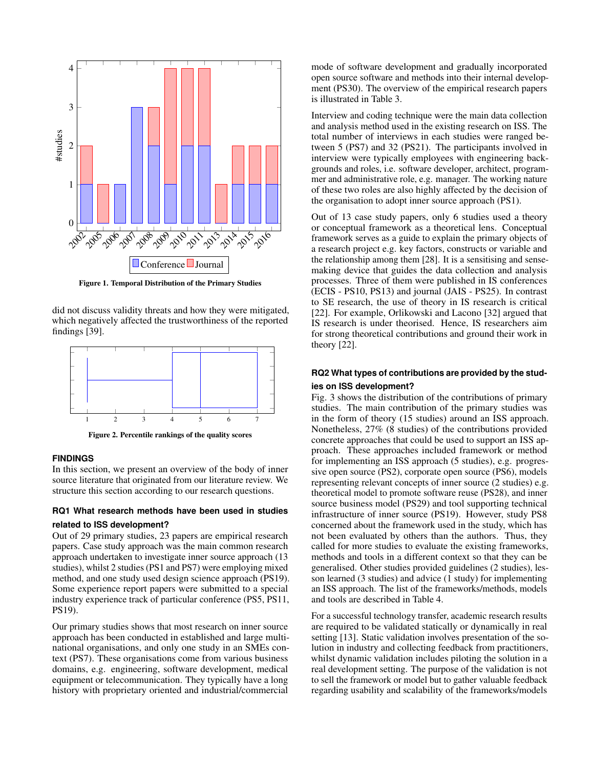

<span id="page-3-1"></span>Figure 1. Temporal Distribution of the Primary Studies

did not discuss validity threats and how they were mitigated, which negatively affected the trustworthiness of the reported findings [\[39\]](#page-9-22).



<span id="page-3-2"></span>Figure 2. Percentile rankings of the quality scores

### <span id="page-3-0"></span>**FINDINGS**

In this section, we present an overview of the body of inner source literature that originated from our literature review. We structure this section according to our research questions.

# **RQ1 What research methods have been used in studies**

# **related to ISS development?**

Out of 29 primary studies, 23 papers are empirical research papers. Case study approach was the main common research approach undertaken to investigate inner source approach (13 studies), whilst 2 studies (PS1 and PS7) were employing mixed method, and one study used design science approach (PS19). Some experience report papers were submitted to a special industry experience track of particular conference (PS5, PS11, PS19).

Our primary studies shows that most research on inner source approach has been conducted in established and large multinational organisations, and only one study in an SMEs context (PS7). These organisations come from various business domains, e.g. engineering, software development, medical equipment or telecommunication. They typically have a long history with proprietary oriented and industrial/commercial

mode of software development and gradually incorporated open source software and methods into their internal development (PS30). The overview of the empirical research papers is illustrated in Table [3.](#page-4-0)

Interview and coding technique were the main data collection and analysis method used in the existing research on ISS. The total number of interviews in each studies were ranged between 5 (PS7) and 32 (PS21). The participants involved in interview were typically employees with engineering backgrounds and roles, i.e. software developer, architect, programmer and administrative role, e.g. manager. The working nature of these two roles are also highly affected by the decision of the organisation to adopt inner source approach (PS1).

Out of 13 case study papers, only 6 studies used a theory or conceptual framework as a theoretical lens. Conceptual framework serves as a guide to explain the primary objects of a research project e.g. key factors, constructs or variable and the relationship among them [\[28\]](#page-9-23). It is a sensitising and sensemaking device that guides the data collection and analysis processes. Three of them were published in IS conferences (ECIS - PS10, PS13) and journal (JAIS - PS25). In contrast to SE research, the use of theory in IS research is critical [\[22\]](#page-8-19). For example, Orlikowski and Lacono [\[32\]](#page-9-24) argued that IS research is under theorised. Hence, IS researchers aim for strong theoretical contributions and ground their work in theory [\[22\]](#page-8-19).

# **RQ2 What types of contributions are provided by the studies on ISS development?**

Fig. [3](#page-5-0) shows the distribution of the contributions of primary studies. The main contribution of the primary studies was in the form of theory (15 studies) around an ISS approach. Nonetheless, 27% (8 studies) of the contributions provided concrete approaches that could be used to support an ISS approach. These approaches included framework or method for implementing an ISS approach (5 studies), e.g. progressive open source (PS2), corporate open source (PS6), models representing relevant concepts of inner source (2 studies) e.g. theoretical model to promote software reuse (PS28), and inner source business model (PS29) and tool supporting technical infrastructure of inner source (PS19). However, study PS8 concerned about the framework used in the study, which has not been evaluated by others than the authors. Thus, they called for more studies to evaluate the existing frameworks, methods and tools in a different context so that they can be generalised. Other studies provided guidelines (2 studies), lesson learned (3 studies) and advice (1 study) for implementing an ISS approach. The list of the frameworks/methods, models and tools are described in Table [4.](#page-6-0)

For a successful technology transfer, academic research results are required to be validated statically or dynamically in real setting [\[13\]](#page-8-20). Static validation involves presentation of the solution in industry and collecting feedback from practitioners, whilst dynamic validation includes piloting the solution in a real development setting. The purpose of the validation is not to sell the framework or model but to gather valuable feedback regarding usability and scalability of the frameworks/models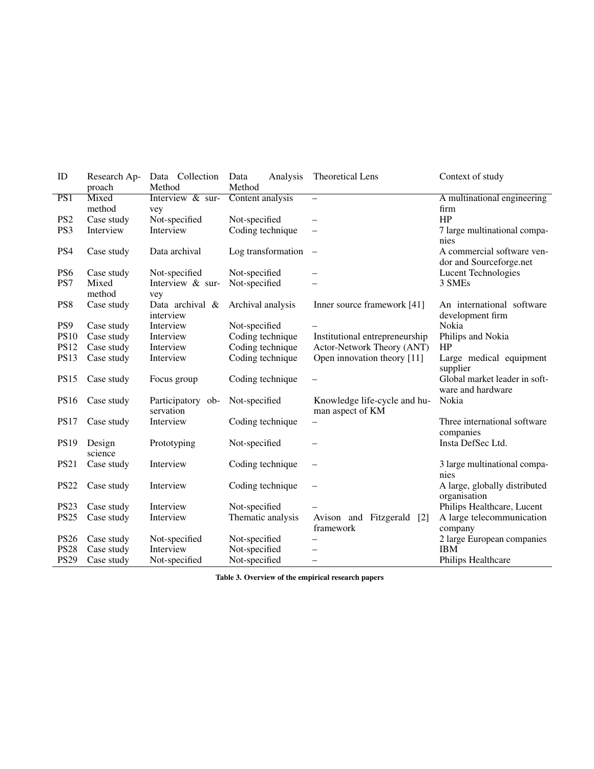| ID              | Research Ap-<br>proach | Data Collection<br>Method      | Data<br>Analysis<br>Method | Theoretical Lens                                        | Context of study                                      |
|-----------------|------------------------|--------------------------------|----------------------------|---------------------------------------------------------|-------------------------------------------------------|
| PS1             | Mixed<br>method        | Interview & sur-<br>vey        | Content analysis           |                                                         | A multinational engineering<br>firm                   |
| PS <sub>2</sub> | Case study             | Not-specified                  | Not-specified              |                                                         | HP                                                    |
| PS3             | Interview              | Interview                      | Coding technique           |                                                         | 7 large multinational compa-<br>nies                  |
| PS4             | Case study             | Data archival                  | Log transformation         | $\frac{1}{2}$                                           | A commercial software ven-<br>dor and Sourceforge.net |
| PS6             | Case study             | Not-specified                  | Not-specified              |                                                         | <b>Lucent Technologies</b>                            |
| PS7             | Mixed<br>method        | Interview & sur-<br>vey        | Not-specified              |                                                         | 3 SMEs                                                |
| PS8             | Case study             | Data archival &<br>interview   | Archival analysis          | Inner source framework [41]                             | An international software<br>development firm         |
| PS <sub>9</sub> | Case study             | Interview                      | Not-specified              |                                                         | Nokia                                                 |
| <b>PS10</b>     | Case study             | Interview                      | Coding technique           | Institutional entrepreneurship                          | Philips and Nokia                                     |
| <b>PS12</b>     | Case study             | Interview                      | Coding technique           | Actor-Network Theory (ANT)                              | HP                                                    |
| <b>PS13</b>     | Case study             | Interview                      | Coding technique           | Open innovation theory [11]                             | Large medical equipment<br>supplier                   |
| <b>PS15</b>     | Case study             | Focus group                    | Coding technique           |                                                         | Global market leader in soft-<br>ware and hardware    |
| <b>PS16</b>     | Case study             | Participatory ob-<br>servation | Not-specified              | Knowledge life-cycle and hu-<br>man aspect of KM        | Nokia                                                 |
| <b>PS17</b>     | Case study             | Interview                      | Coding technique           | $\overline{\phantom{0}}$                                | Three international software<br>companies             |
| <b>PS19</b>     | Design<br>science      | Prototyping                    | Not-specified              |                                                         | Insta DefSec Ltd.                                     |
| <b>PS21</b>     | Case study             | Interview                      | Coding technique           | $\overline{\phantom{0}}$                                | 3 large multinational compa-<br>nies                  |
| <b>PS22</b>     | Case study             | Interview                      | Coding technique           |                                                         | A large, globally distributed<br>organisation         |
| <b>PS23</b>     | Case study             | Interview                      | Not-specified              |                                                         | Philips Healthcare, Lucent                            |
| <b>PS25</b>     | Case study             | Interview                      | Thematic analysis          | Avison and Fitzgerald<br>$\lceil 2 \rceil$<br>framework | A large telecommunication<br>company                  |
| <b>PS26</b>     | Case study             | Not-specified                  | Not-specified              |                                                         | 2 large European companies                            |
| <b>PS28</b>     | Case study             | Interview                      | Not-specified              |                                                         | <b>IBM</b>                                            |
| <b>PS29</b>     | Case study             | Not-specified                  | Not-specified              |                                                         | Philips Healthcare                                    |

<span id="page-4-0"></span>Table 3. Overview of the empirical research papers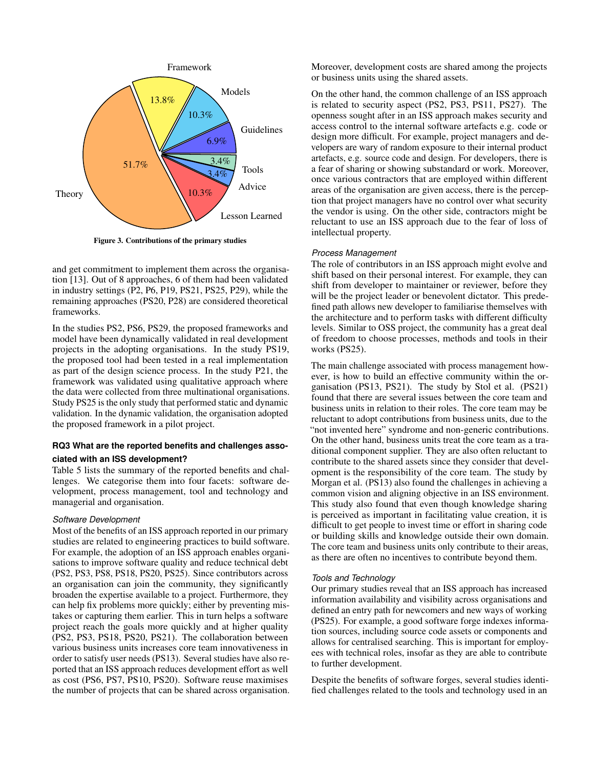

<span id="page-5-0"></span>Figure 3. Contributions of the primary studies

and get commitment to implement them across the organisation [\[13\]](#page-8-20). Out of 8 approaches, 6 of them had been validated in industry settings (P2, P6, P19, PS21, PS25, P29), while the remaining approaches (PS20, P28) are considered theoretical frameworks.

In the studies PS2, PS6, PS29, the proposed frameworks and model have been dynamically validated in real development projects in the adopting organisations. In the study PS19, the proposed tool had been tested in a real implementation as part of the design science process. In the study P21, the framework was validated using qualitative approach where the data were collected from three multinational organisations. Study PS25 is the only study that performed static and dynamic validation. In the dynamic validation, the organisation adopted the proposed framework in a pilot project.

# **RQ3 What are the reported benefits and challenges associated with an ISS development?**

Table [5](#page-6-1) lists the summary of the reported benefits and challenges. We categorise them into four facets: software development, process management, tool and technology and managerial and organisation.

## *Software Development*

Most of the benefits of an ISS approach reported in our primary studies are related to engineering practices to build software. For example, the adoption of an ISS approach enables organisations to improve software quality and reduce technical debt (PS2, PS3, PS8, PS18, PS20, PS25). Since contributors across an organisation can join the community, they significantly broaden the expertise available to a project. Furthermore, they can help fix problems more quickly; either by preventing mistakes or capturing them earlier. This in turn helps a software project reach the goals more quickly and at higher quality (PS2, PS3, PS18, PS20, PS21). The collaboration between various business units increases core team innovativeness in order to satisfy user needs (PS13). Several studies have also reported that an ISS approach reduces development effort as well as cost (PS6, PS7, PS10, PS20). Software reuse maximises the number of projects that can be shared across organisation. Moreover, development costs are shared among the projects or business units using the shared assets.

On the other hand, the common challenge of an ISS approach is related to security aspect (PS2, PS3, PS11, PS27). The openness sought after in an ISS approach makes security and access control to the internal software artefacts e.g. code or design more difficult. For example, project managers and developers are wary of random exposure to their internal product artefacts, e.g. source code and design. For developers, there is a fear of sharing or showing substandard or work. Moreover, once various contractors that are employed within different areas of the organisation are given access, there is the perception that project managers have no control over what security the vendor is using. On the other side, contractors might be reluctant to use an ISS approach due to the fear of loss of intellectual property.

## *Process Management*

The role of contributors in an ISS approach might evolve and shift based on their personal interest. For example, they can shift from developer to maintainer or reviewer, before they will be the project leader or benevolent dictator. This predefined path allows new developer to familiarise themselves with the architecture and to perform tasks with different difficulty levels. Similar to OSS project, the community has a great deal of freedom to choose processes, methods and tools in their works (PS25).

The main challenge associated with process management however, is how to build an effective community within the organisation (PS13, PS21). The study by Stol et al. (PS21) found that there are several issues between the core team and business units in relation to their roles. The core team may be reluctant to adopt contributions from business units, due to the "not invented here" syndrome and non-generic contributions. On the other hand, business units treat the core team as a traditional component supplier. They are also often reluctant to contribute to the shared assets since they consider that development is the responsibility of the core team. The study by Morgan et al. (PS13) also found the challenges in achieving a common vision and aligning objective in an ISS environment. This study also found that even though knowledge sharing is perceived as important in facilitating value creation, it is difficult to get people to invest time or effort in sharing code or building skills and knowledge outside their own domain. The core team and business units only contribute to their areas, as there are often no incentives to contribute beyond them.

## *Tools and Technology*

Our primary studies reveal that an ISS approach has increased information availability and visibility across organisations and defined an entry path for newcomers and new ways of working (PS25). For example, a good software forge indexes information sources, including source code assets or components and allows for centralised searching. This is important for employees with technical roles, insofar as they are able to contribute to further development.

Despite the benefits of software forges, several studies identified challenges related to the tools and technology used in an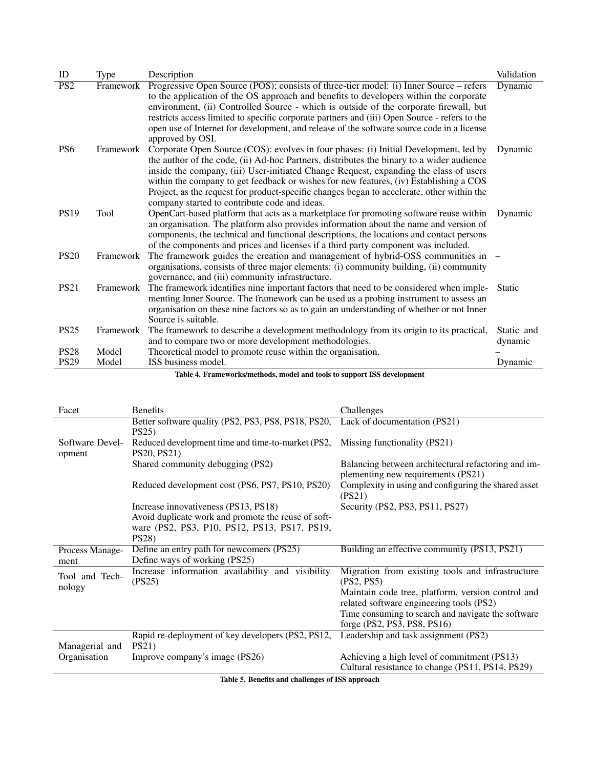| ID              | Type      | Description                                                                                                                                                                     | Validation    |
|-----------------|-----------|---------------------------------------------------------------------------------------------------------------------------------------------------------------------------------|---------------|
| PS <sub>2</sub> | Framework | Progressive Open Source (POS): consists of three-tier model: (i) Inner Source – refers                                                                                          | Dynamic       |
|                 |           | to the application of the OS approach and benefits to developers within the corporate                                                                                           |               |
|                 |           | environment, (ii) Controlled Source - which is outside of the corporate firewall, but                                                                                           |               |
|                 |           | restricts access limited to specific corporate partners and (iii) Open Source - refers to the                                                                                   |               |
|                 |           | open use of Internet for development, and release of the software source code in a license                                                                                      |               |
|                 |           | approved by OSI.                                                                                                                                                                |               |
| PS <sub>6</sub> | Framework | Corporate Open Source (COS): evolves in four phases: (i) Initial Development, led by                                                                                            | Dynamic       |
|                 |           | the author of the code, (ii) Ad-hoc Partners, distributes the binary to a wider audience                                                                                        |               |
|                 |           | inside the company, (iii) User-initiated Change Request, expanding the class of users                                                                                           |               |
|                 |           | within the company to get feedback or wishes for new features, (iv) Establishing a COS                                                                                          |               |
|                 |           | Project, as the request for product-specific changes began to accelerate, other within the                                                                                      |               |
| <b>PS19</b>     | Tool      | company started to contribute code and ideas.                                                                                                                                   |               |
|                 |           | OpenCart-based platform that acts as a marketplace for promoting software reuse within<br>an organisation. The platform also provides information about the name and version of | Dynamic       |
|                 |           | components, the technical and functional descriptions, the locations and contact persons                                                                                        |               |
|                 |           | of the components and prices and licenses if a third party component was included.                                                                                              |               |
| <b>PS20</b>     | Framework | The framework guides the creation and management of hybrid-OSS communities in -                                                                                                 |               |
|                 |           | organisations, consists of three major elements: (i) community building, (ii) community                                                                                         |               |
|                 |           | governance, and (iii) community infrastructure.                                                                                                                                 |               |
| <b>PS21</b>     | Framework | The framework identifies nine important factors that need to be considered when imple-                                                                                          | <b>Static</b> |
|                 |           | menting Inner Source. The framework can be used as a probing instrument to assess an                                                                                            |               |
|                 |           | organisation on these nine factors so as to gain an understanding of whether or not Inner                                                                                       |               |
|                 |           | Source is suitable.                                                                                                                                                             |               |
| <b>PS25</b>     | Framework | The framework to describe a development methodology from its origin to its practical,                                                                                           | Static and    |
|                 |           | and to compare two or more development methodologies.                                                                                                                           | dynamic       |
| <b>PS28</b>     | Model     | Theoretical model to promote reuse within the organisation.                                                                                                                     |               |
| <b>PS29</b>     | Model     | ISS business model.                                                                                                                                                             | Dynamic       |

<span id="page-6-0"></span>Table 4. Frameworks/methods, model and tools to support ISS development

| Facet                     | <b>Benefits</b>                                                                                                      | Challenges                                                                                      |
|---------------------------|----------------------------------------------------------------------------------------------------------------------|-------------------------------------------------------------------------------------------------|
|                           | Better software quality (PS2, PS3, PS8, PS18, PS20,<br>PS25)                                                         | Lack of documentation (PS21)                                                                    |
| Software Devel-<br>opment | Reduced development time and time-to-market (PS2,<br>PS20, PS21)                                                     | Missing functionality (PS21)                                                                    |
|                           | Shared community debugging (PS2)                                                                                     | Balancing between architectural refactoring and im-<br>plementing new requirements (PS21)       |
|                           | Reduced development cost (PS6, PS7, PS10, PS20)                                                                      | Complexity in using and configuring the shared asset<br>(PS21)                                  |
|                           | Increase innovativeness (PS13, PS18)                                                                                 | Security (PS2, PS3, PS11, PS27)                                                                 |
|                           | Avoid duplicate work and promote the reuse of soft-<br>ware (PS2, PS3, P10, PS12, PS13, PS17, PS19,<br><b>PS28</b> ) |                                                                                                 |
| Process Manage-<br>ment   | Define an entry path for newcomers (PS25)<br>Define ways of working (PS25)                                           | Building an effective community (PS13, PS21)                                                    |
| Tool and Tech-            | Increase information availability and visibility<br>(PS25)                                                           | Migration from existing tools and infrastructure<br>(PS2, PS5)                                  |
| nology                    |                                                                                                                      | Maintain code tree, platform, version control and<br>related software engineering tools (PS2)   |
|                           |                                                                                                                      | Time consuming to search and navigate the software<br>forge (PS2, PS3, PS8, PS16)               |
| Managerial and            | Rapid re-deployment of key developers (PS2, PS12,<br><b>PS21</b> )                                                   | Leadership and task assignment (PS2)                                                            |
| Organisation              | Improve company's image (PS26)                                                                                       | Achieving a high level of commitment (PS13)<br>Cultural resistance to change (PS11, PS14, PS29) |

<span id="page-6-1"></span>Table 5. Benefits and challenges of ISS approach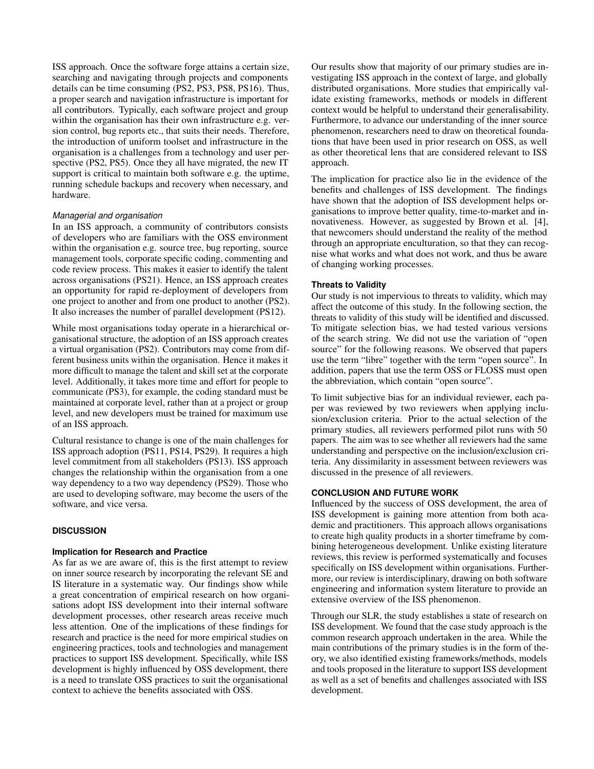ISS approach. Once the software forge attains a certain size, searching and navigating through projects and components details can be time consuming (PS2, PS3, PS8, PS16). Thus, a proper search and navigation infrastructure is important for all contributors. Typically, each software project and group within the organisation has their own infrastructure e.g. version control, bug reports etc., that suits their needs. Therefore, the introduction of uniform toolset and infrastructure in the organisation is a challenges from a technology and user perspective (PS2, PS5). Once they all have migrated, the new IT support is critical to maintain both software e.g. the uptime, running schedule backups and recovery when necessary, and hardware.

### *Managerial and organisation*

In an ISS approach, a community of contributors consists of developers who are familiars with the OSS environment within the organisation e.g. source tree, bug reporting, source management tools, corporate specific coding, commenting and code review process. This makes it easier to identify the talent across organisations (PS21). Hence, an ISS approach creates an opportunity for rapid re-deployment of developers from one project to another and from one product to another (PS2). It also increases the number of parallel development (PS12).

While most organisations today operate in a hierarchical organisational structure, the adoption of an ISS approach creates a virtual organisation (PS2). Contributors may come from different business units within the organisation. Hence it makes it more difficult to manage the talent and skill set at the corporate level. Additionally, it takes more time and effort for people to communicate (PS3), for example, the coding standard must be maintained at corporate level, rather than at a project or group level, and new developers must be trained for maximum use of an ISS approach.

Cultural resistance to change is one of the main challenges for ISS approach adoption (PS11, PS14, PS29). It requires a high level commitment from all stakeholders (PS13). ISS approach changes the relationship within the organisation from a one way dependency to a two way dependency (PS29). Those who are used to developing software, may become the users of the software, and vice versa.

### <span id="page-7-0"></span>**DISCUSSION**

### **Implication for Research and Practice**

As far as we are aware of, this is the first attempt to review on inner source research by incorporating the relevant SE and IS literature in a systematic way. Our findings show while a great concentration of empirical research on how organisations adopt ISS development into their internal software development processes, other research areas receive much less attention. One of the implications of these findings for research and practice is the need for more empirical studies on engineering practices, tools and technologies and management practices to support ISS development. Specifically, while ISS development is highly influenced by OSS development, there is a need to translate OSS practices to suit the organisational context to achieve the benefits associated with OSS.

Our results show that majority of our primary studies are investigating ISS approach in the context of large, and globally distributed organisations. More studies that empirically validate existing frameworks, methods or models in different context would be helpful to understand their generalisability. Furthermore, to advance our understanding of the inner source phenomenon, researchers need to draw on theoretical foundations that have been used in prior research on OSS, as well as other theoretical lens that are considered relevant to ISS approach.

The implication for practice also lie in the evidence of the benefits and challenges of ISS development. The findings have shown that the adoption of ISS development helps organisations to improve better quality, time-to-market and innovativeness. However, as suggested by Brown et al. [\[4\]](#page-8-23), that newcomers should understand the reality of the method through an appropriate enculturation, so that they can recognise what works and what does not work, and thus be aware of changing working processes.

### **Threats to Validity**

Our study is not impervious to threats to validity, which may affect the outcome of this study. In the following section, the threats to validity of this study will be identified and discussed. To mitigate selection bias, we had tested various versions of the search string. We did not use the variation of "open source" for the following reasons. We observed that papers use the term "libre" together with the term "open source". In addition, papers that use the term OSS or FLOSS must open the abbreviation, which contain "open source".

To limit subjective bias for an individual reviewer, each paper was reviewed by two reviewers when applying inclusion/exclusion criteria. Prior to the actual selection of the primary studies, all reviewers performed pilot runs with 50 papers. The aim was to see whether all reviewers had the same understanding and perspective on the inclusion/exclusion criteria. Any dissimilarity in assessment between reviewers was discussed in the presence of all reviewers.

### <span id="page-7-1"></span>**CONCLUSION AND FUTURE WORK**

Influenced by the success of OSS development, the area of ISS development is gaining more attention from both academic and practitioners. This approach allows organisations to create high quality products in a shorter timeframe by combining heterogeneous development. Unlike existing literature reviews, this review is performed systematically and focuses specifically on ISS development within organisations. Furthermore, our review is interdisciplinary, drawing on both software engineering and information system literature to provide an extensive overview of the ISS phenomenon.

Through our SLR, the study establishes a state of research on ISS development. We found that the case study approach is the common research approach undertaken in the area. While the main contributions of the primary studies is in the form of theory, we also identified existing frameworks/methods, models and tools proposed in the literature to support ISS development as well as a set of benefits and challenges associated with ISS development.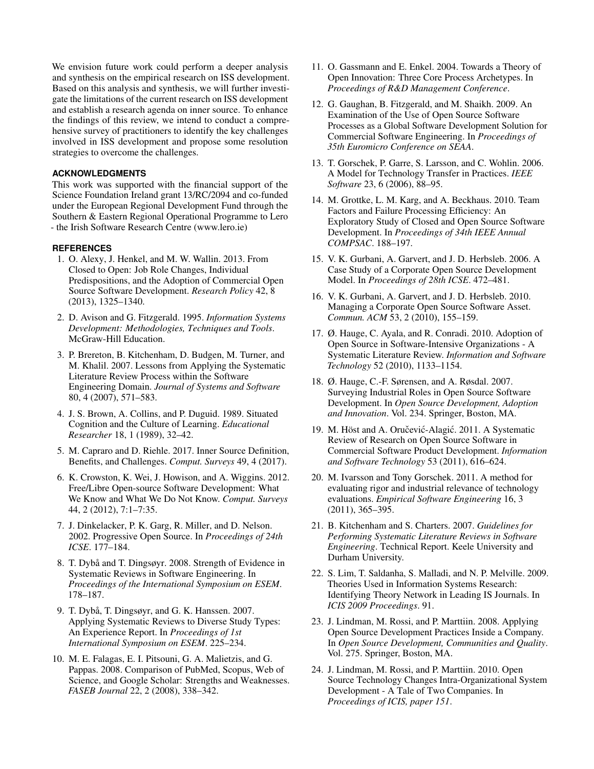We envision future work could perform a deeper analysis and synthesis on the empirical research on ISS development. Based on this analysis and synthesis, we will further investigate the limitations of the current research on ISS development and establish a research agenda on inner source. To enhance the findings of this review, we intend to conduct a comprehensive survey of practitioners to identify the key challenges involved in ISS development and propose some resolution strategies to overcome the challenges.

# **ACKNOWLEDGMENTS**

This work was supported with the financial support of the Science Foundation Ireland grant 13/RC/2094 and co-funded under the European Regional Development Fund through the Southern & Eastern Regional Operational Programme to Lero - the Irish Software Research Centre (www.lero.ie)

### <span id="page-8-14"></span>**REFERENCES**

- 1. O. Alexy, J. Henkel, and M. W. Wallin. 2013. From Closed to Open: Job Role Changes, Individual Predispositions, and the Adoption of Commercial Open Source Software Development. *Research Policy* 42, 8 (2013), 1325–1340.
- <span id="page-8-22"></span>2. D. Avison and G. Fitzgerald. 1995. *Information Systems Development: Methodologies, Techniques and Tools*. McGraw-Hill Education.
- <span id="page-8-13"></span>3. P. Brereton, B. Kitchenham, D. Budgen, M. Turner, and M. Khalil. 2007. Lessons from Applying the Systematic Literature Review Process within the Software Engineering Domain. *Journal of Systems and Software* 80, 4 (2007), 571–583.
- <span id="page-8-23"></span>4. J. S. Brown, A. Collins, and P. Duguid. 1989. Situated Cognition and the Culture of Learning. *Educational Researcher* 18, 1 (1989), 32–42.
- <span id="page-8-4"></span>5. M. Capraro and D. Riehle. 2017. Inner Source Definition, Benefits, and Challenges. *Comput. Surveys* 49, 4 (2017).
- <span id="page-8-7"></span>6. K. Crowston, K. Wei, J. Howison, and A. Wiggins. 2012. Free/Libre Open-source Software Development: What We Know and What We Do Not Know. *Comput. Surveys* 44, 2 (2012), 7:1–7:35.
- <span id="page-8-0"></span>7. J. Dinkelacker, P. K. Garg, R. Miller, and D. Nelson. 2002. Progressive Open Source. In *Proceedings of 24th ICSE*. 177–184.
- <span id="page-8-9"></span>8. T. Dybå and T. Dingsøyr. 2008. Strength of Evidence in Systematic Reviews in Software Engineering. In *Proceedings of the International Symposium on ESEM*. 178–187.
- <span id="page-8-12"></span>9. T. Dybå, T. Dingsøyr, and G. K. Hanssen. 2007. Applying Systematic Reviews to Diverse Study Types: An Experience Report. In *Proceedings of 1st International Symposium on ESEM*. 225–234.
- <span id="page-8-11"></span>10. M. E. Falagas, E. I. Pitsouni, G. A. Malietzis, and G. Pappas. 2008. Comparison of PubMed, Scopus, Web of Science, and Google Scholar: Strengths and Weaknesses. *FASEB Journal* 22, 2 (2008), 338–342.
- <span id="page-8-21"></span>11. O. Gassmann and E. Enkel. 2004. Towards a Theory of Open Innovation: Three Core Process Archetypes. In *Proceedings of R&D Management Conference*.
- <span id="page-8-15"></span>12. G. Gaughan, B. Fitzgerald, and M. Shaikh. 2009. An Examination of the Use of Open Source Software Processes as a Global Software Development Solution for Commercial Software Engineering. In *Proceedings of 35th Euromicro Conference on SEAA*.
- <span id="page-8-20"></span>13. T. Gorschek, P. Garre, S. Larsson, and C. Wohlin. 2006. A Model for Technology Transfer in Practices. *IEEE Software* 23, 6 (2006), 88–95.
- <span id="page-8-16"></span>14. M. Grottke, L. M. Karg, and A. Beckhaus. 2010. Team Factors and Failure Processing Efficiency: An Exploratory Study of Closed and Open Source Software Development. In *Proceedings of 34th IEEE Annual COMPSAC*. 188–197.
- <span id="page-8-17"></span>15. V. K. Gurbani, A. Garvert, and J. D. Herbsleb. 2006. A Case Study of a Corporate Open Source Development Model. In *Proceedings of 28th ICSE*. 472–481.
- <span id="page-8-1"></span>16. V. K. Gurbani, A. Garvert, and J. D. Herbsleb. 2010. Managing a Corporate Open Source Software Asset. *Commun. ACM* 53, 2 (2010), 155–159.
- <span id="page-8-2"></span>17. Ø. Hauge, C. Ayala, and R. Conradi. 2010. Adoption of Open Source in Software-Intensive Organizations - A Systematic Literature Review. *Information and Software Technology* 52 (2010), 1133–1154.
- <span id="page-8-18"></span>18. Ø. Hauge, C.-F. Sørensen, and A. Røsdal. 2007. Surveying Industrial Roles in Open Source Software Development. In *Open Source Development, Adoption and Innovation*. Vol. 234. Springer, Boston, MA.
- <span id="page-8-3"></span>19. M. Höst and A. Oručević-Alagić. 2011. A Systematic Review of Research on Open Source Software in Commercial Software Product Development. *Information and Software Technology* 53 (2011), 616–624.
- <span id="page-8-10"></span>20. M. Ivarsson and Tony Gorschek. 2011. A method for evaluating rigor and industrial relevance of technology evaluations. *Empirical Software Engineering* 16, 3 (2011), 365–395.
- <span id="page-8-8"></span>21. B. Kitchenham and S. Charters. 2007. *Guidelines for Performing Systematic Literature Reviews in Software Engineering*. Technical Report. Keele University and Durham University.
- <span id="page-8-19"></span>22. S. Lim, T. Saldanha, S. Malladi, and N. P. Melville. 2009. Theories Used in Information Systems Research: Identifying Theory Network in Leading IS Journals. In *ICIS 2009 Proceedings*. 91.
- <span id="page-8-5"></span>23. J. Lindman, M. Rossi, and P. Marttiin. 2008. Applying Open Source Development Practices Inside a Company. In *Open Source Development, Communities and Quality*. Vol. 275. Springer, Boston, MA.
- <span id="page-8-6"></span>24. J. Lindman, M. Rossi, and P. Marttiin. 2010. Open Source Technology Changes Intra-Organizational System Development - A Tale of Two Companies. In *Proceedings of ICIS, paper 151*.